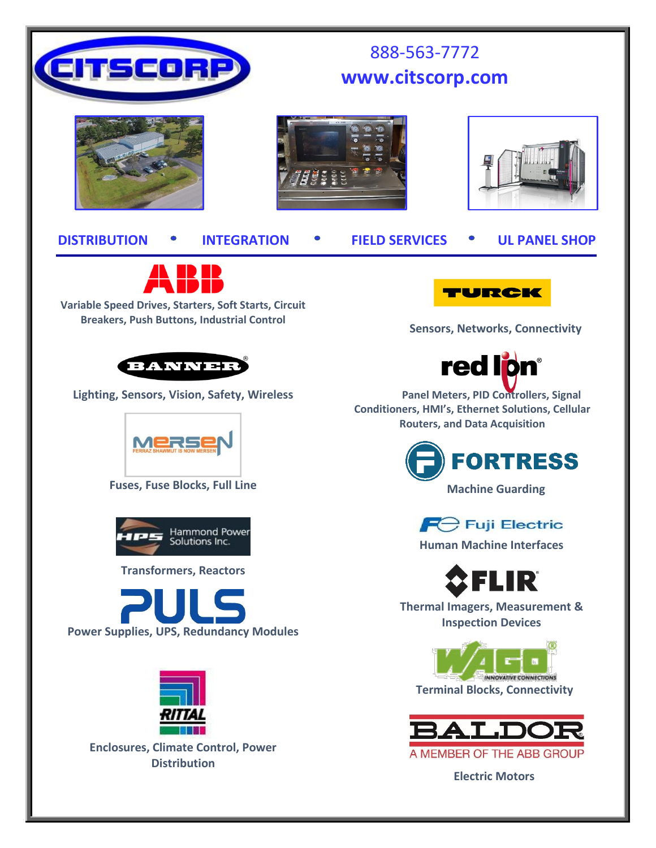| <b>Einic</b>                                                                                                                                                                                                                                                                            | 888-563-7772<br>www.citscorp.com                                                                                                                                                                                                                                                                                                                                                                               |
|-----------------------------------------------------------------------------------------------------------------------------------------------------------------------------------------------------------------------------------------------------------------------------------------|----------------------------------------------------------------------------------------------------------------------------------------------------------------------------------------------------------------------------------------------------------------------------------------------------------------------------------------------------------------------------------------------------------------|
|                                                                                                                                                                                                                                                                                         |                                                                                                                                                                                                                                                                                                                                                                                                                |
| <b>DISTRIBUTION</b><br><b>INTEGRATION</b>                                                                                                                                                                                                                                               | <b>FIELD SERVICES</b><br><b>UL PANEL SHOP</b>                                                                                                                                                                                                                                                                                                                                                                  |
| Variable Speed Drives, Starters, Soft Starts, Circuit<br><b>Breakers, Push Buttons, Industrial Control</b><br>BANNER<br>Lighting, Sensors, Vision, Safety, Wireless<br><b>Fuses, Fuse Blocks, Full Line</b><br>Hammond Power<br>Solutions Inc.<br><b>Transformers, Reactors</b><br>UILS | <b>FURCK</b><br><b>Sensors, Networks, Connectivity</b><br>red lion®<br><b>Panel Meters, PID Controllers, Signal</b><br>Conditioners, HMI's, Ethernet Solutions, Cellular<br><b>Routers, and Data Acquisition</b><br><b>FORTRESS</b><br><b>Machine Guarding</b><br>$\exists$ Fuji Electric<br><b>Human Machine Interfaces</b><br>FLIR<br><b>Thermal Imagers, Measurement &amp;</b><br><b>Inspection Devices</b> |
| <b>Power Supplies, UPS, Redundancy Modules</b><br><b>Enclosures, Climate Control, Power</b><br><b>Distribution</b>                                                                                                                                                                      | <b>INNOVATIVE CONNECTIONS</b><br><b>Terminal Blocks, Connectivity</b><br><b>BALDO</b><br>A MEMBER OF THE ABB GROUP<br><b>Electric Motors</b>                                                                                                                                                                                                                                                                   |